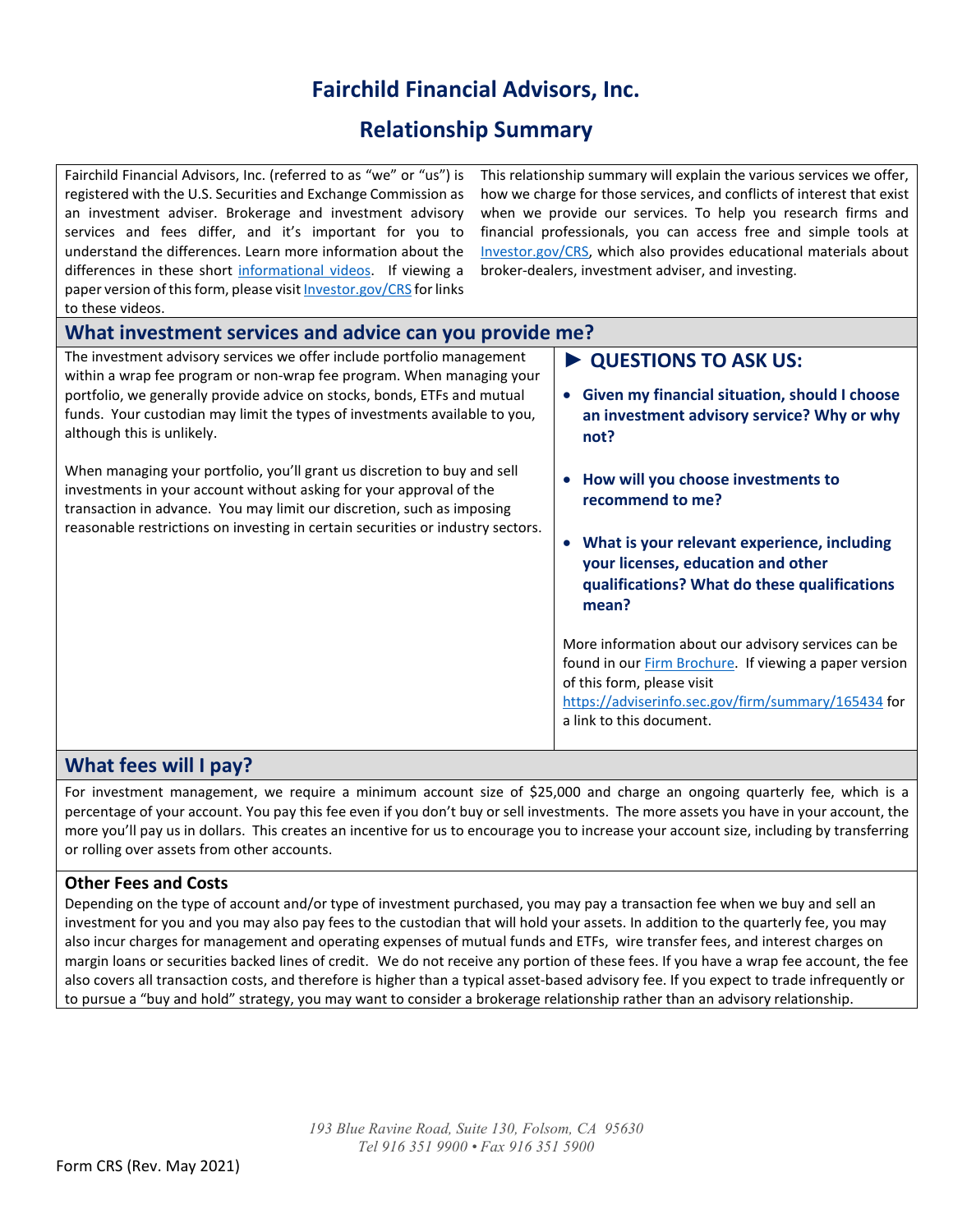## **Fairchild Financial Advisors, Inc.**

## **Relationship Summary**

Fairchild Financial Advisors, Inc. (referred to as "we" or "us") is registered with the U.S. Securities and Exchange Commission as an investment adviser. Brokerage and investment advisory services and fees differ, and it's important for you to understand the differences. Learn more information about the differences in these short [informational videos.](https://www.youtube.com/playlist?list=PLrB8PjaXSV6uLdNIz6MVpbGLBHNyXPc-h) If viewing a paper version of this form, please visi[t Investor.gov/CRS](https://www.investor.gov/CRS) for links

This relationship summary will explain the various services we offer, how we charge for those services, and conflicts of interest that exist when we provide our services. To help you research firms and financial professionals, you can access free and simple tools at [Investor.gov/CRS,](https://www.investor.gov/CRS) which also provides educational materials about broker-dealers, investment adviser, and investing.

| to these videos.                                                                                                                                                                                                                                                                                                                        |                                                                                                                                                                                                                                                                                                                                                                                                                                                     |
|-----------------------------------------------------------------------------------------------------------------------------------------------------------------------------------------------------------------------------------------------------------------------------------------------------------------------------------------|-----------------------------------------------------------------------------------------------------------------------------------------------------------------------------------------------------------------------------------------------------------------------------------------------------------------------------------------------------------------------------------------------------------------------------------------------------|
| What investment services and advice can you provide me?                                                                                                                                                                                                                                                                                 |                                                                                                                                                                                                                                                                                                                                                                                                                                                     |
| The investment advisory services we offer include portfolio management<br>within a wrap fee program or non-wrap fee program. When managing your<br>portfolio, we generally provide advice on stocks, bonds, ETFs and mutual<br>funds. Your custodian may limit the types of investments available to you,<br>although this is unlikely. | ▶ QUESTIONS TO ASK US:<br>Given my financial situation, should I choose<br>$\bullet$<br>an investment advisory service? Why or why<br>not?                                                                                                                                                                                                                                                                                                          |
| When managing your portfolio, you'll grant us discretion to buy and sell<br>investments in your account without asking for your approval of the<br>transaction in advance. You may limit our discretion, such as imposing<br>reasonable restrictions on investing in certain securities or industry sectors.                            | How will you choose investments to<br>recommend to me?<br>What is your relevant experience, including<br>$\bullet$<br>your licenses, education and other<br>qualifications? What do these qualifications<br>mean?<br>More information about our advisory services can be<br>found in our Firm Brochure. If viewing a paper version<br>of this form, please visit<br>https://adviserinfo.sec.gov/firm/summary/165434 for<br>a link to this document. |
| What fees will I pay?                                                                                                                                                                                                                                                                                                                   |                                                                                                                                                                                                                                                                                                                                                                                                                                                     |

For investment management, we require a minimum account size of \$25,000 and charge an ongoing quarterly fee, which is a percentage of your account. You pay this fee even if you don't buy or sell investments. The more assets you have in your account, the more you'll pay us in dollars. This creates an incentive for us to encourage you to increase your account size, including by transferring or rolling over assets from other accounts.

## **Other Fees and Costs**

Depending on the type of account and/or type of investment purchased, you may pay a transaction fee when we buy and sell an investment for you and you may also pay fees to the custodian that will hold your assets. In addition to the quarterly fee, you may also incur charges for management and operating expenses of mutual funds and ETFs, wire transfer fees, and interest charges on margin loans or securities backed lines of credit. We do not receive any portion of these fees. If you have a wrap fee account, the fee also covers all transaction costs, and therefore is higher than a typical asset-based advisory fee. If you expect to trade infrequently or to pursue a "buy and hold" strategy, you may want to consider a brokerage relationship rather than an advisory relationship.